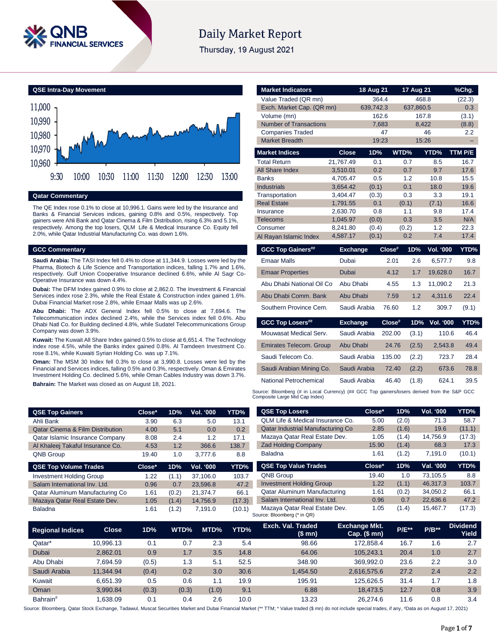

## **Daily Market Report**

Thursday, 19 August 2021

**QSE Intra-Day Movement**



**Qatar Commentary**

The QE Index rose 0.1% to close at 10,996.1. Gains were led by the Insurance and Banks & Financial Services indices, gaining 0.8% and 0.5%, respectively. Top gainers were Ahli Bank and Qatar Cinema & Film Distribution, rising 6.3% and 5.1%, respectively. Among the top losers, QLM Life & Medical Insurance Co. Equity fell 2.0%, while Qatar Industrial Manufacturing Co. was down 1.6%.

### **GCC Commentary**

**Saudi Arabia:** The TASI Index fell 0.4% to close at 11,344.9. Losses were led by the Pharma, Biotech & Life Science and Transportation indices, falling 1.7% and 1.6%, respectively. Gulf Union Cooperative Insurance declined 6.6%, while Al Sagr Co-Operative Insurance was down 4.4%.

**Dubai:** The DFM Index gained 0.9% to close at 2,862.0. The Investment & Financial Services index rose 2.3%, while the Real Estate & Construction index gained 1.6%. Dubai Financial Market rose 2.8%, while Emaar Malls was up 2.6%.

**Abu Dhabi:** The ADX General Index fell 0.5% to close at 7,694.6. The Telecommunication index declined 2.4%, while the Services index fell 0.6%. Abu Dhabi Natl Co. for Building declined 4.8%, while Sudatel Telecommunications Group Company was down 3.9%.

**Kuwait:** The Kuwait All Share Index gained 0.5% to close at 6,651.4. The Technology index rose 4.5%, while the Banks index gained 0.8%. Al Tamdeen Investment Co. rose 8.1%, while Kuwaiti Syrian Holding Co. was up 7.1%.

**Oman:** The MSM 30 Index fell 0.3% to close at 3,990.8. Losses were led by the Financial and Services indices, falling 0.5% and 0.3%, respectively. Oman & Emirates Investment Holding Co. declined 5.6%, while Oman Cables Industry was down 3.7%.

**Bahrain:** The Market was closed as on August 18, 2021.

| Value Traded (QR mn)           | 364.4                  |                | 468.8           | (22.3)           |              |
|--------------------------------|------------------------|----------------|-----------------|------------------|--------------|
| Exch. Market Cap. (QR mn)      | 639,742.3<br>637,860.5 |                |                 | 0.3              |              |
| Volume (mn)                    |                        | 162.6          |                 | 167.8            | (3.1)        |
| <b>Number of Transactions</b>  |                        | 7,683          |                 | 8,422            | (8.8)        |
| <b>Companies Traded</b>        |                        | 47             |                 | 46               | 2.2          |
| <b>Market Breadth</b>          |                        | 19:23          |                 | 15:26            |              |
| <b>Market Indices</b>          | <b>Close</b>           | 1D%            | WTD%            | YTD%             | TTM P/E      |
| <b>Total Return</b>            | 21,767.49              | 0.1            | 0.7             | 8.5              | 16.7         |
| All Share Index                | 3,510.01               | 0.2            | 0.7             | 9.7              | 17.6         |
| <b>Banks</b>                   | 4.705.47               | 0.5            | 1.2             | 10.8             | 15.5         |
| <b>Industrials</b>             | 3,654.42               | (0.1)          | 0.1             | 18.0             | 19.6         |
| Transportation                 | 3,404.47               | (0.3)          | 0.3             | 3.3              | 19.1         |
| <b>Real Estate</b>             | 1,791.55               | 0.1            | (0.1)           | (7.1)            | 16.6         |
| Insurance                      | 2,630.70               | 0.8            | 1.1             | 9.8              | 17.4         |
| <b>Telecoms</b>                | 1,045.97               | (0.0)          | 0.3             | 3.5              | N/A          |
| Consumer                       | 8,241.80<br>4,587.17   | (0.4)<br>(0.1) | (0.2)<br>0.2    | 1.2<br>7.4       | 22.3<br>17.4 |
| Al Rayan Islamic Index         |                        |                |                 |                  |              |
|                                |                        |                |                 |                  |              |
| <b>GCC Top Gainers##</b>       | <b>Exchange</b>        |                | Close#<br>1D%   | <b>Vol. '000</b> | YTD%         |
| <b>Emaar Malls</b>             | Dubai                  |                | 2.6<br>2.01     | 6,577.7          | 9.8          |
| <b>Emaar Properties</b>        | <b>Dubai</b>           |                | 1.7<br>4.12     | 19,628.0         | 16.7         |
| Abu Dhabi National Oil Co      | Abu Dhabi              |                | 1.3<br>4.55     | 11,090.2         | 21.3         |
| Abu Dhabi Comm. Bank           | Abu Dhabi              |                | 1.2<br>7.59     | 4,311.6          | 22.4         |
| Southern Province Cem.         | Saudi Arabia           |                | 76.60<br>1.2    | 309.7            | (9.1)        |
| <b>GCC Top Losers##</b>        | <b>Exchange</b>        |                | Close#<br>1D%   | <b>Vol. '000</b> | YTD%         |
| Mouwasat Medical Serv.         | Saudi Arabia           |                | 202.00<br>(3.1) | 110.6            | 46.4         |
| <b>Emirates Telecom. Group</b> | Abu Dhabi              |                | 24.76<br>(2.5)  | 2,543.8          | 49.4         |
| Saudi Telecom Co.              | Saudi Arabia           |                | 135.00<br>(2.2) | 723.7            | 28.4         |
| Saudi Arabian Mining Co.       | Saudi Arabia           |                | 72.40<br>(2.2)  | 673.6            | 78.8         |

**Market Indicators 18 Aug 21 17 Aug 21 %Chg.**

Source: Bloomberg (# in Local Currency) (## GCC Top gainers/losers derived from the S&P GCC<br>Composite Large Mid Cap Index)

| <b>QSE Top Gainers</b>                      | Close* | 1D%   | Vol. '000        | YTD%        | <b>QSE Top Losers</b>                                        | Close*              | 1D%   | Vol. '000 | YTD%     |
|---------------------------------------------|--------|-------|------------------|-------------|--------------------------------------------------------------|---------------------|-------|-----------|----------|
| Ahli Bank                                   | 3.90   | 6.3   | 5.0              | 13.1        | QLM Life & Medical Insurance Co.                             | 5.00                | (2.0) | 71.3      | 58.7     |
| <b>Qatar Cinema &amp; Film Distribution</b> | 4.00   | 5.1   | 0.0              | 0.2         | <b>Qatar Industrial Manufacturing Co</b>                     | 2.85                | (1.6) | 19.6      | (11.1)   |
| Qatar Islamic Insurance Company             | 8.08   | 2.4   | 1.2              | 17.1        | Mazaya Qatar Real Estate Dev.                                | 1.05                | (1.4) | 14.756.9  | (17.3)   |
| Al Khaleej Takaful Insurance Co.            | 4.53   | 1.2   | 366.6            | 138.7       | <b>Zad Holding Company</b>                                   | 15.90               | (1.4) | 68.3      | 17.3     |
| QNB Group                                   | 19.40  | 1.0   | 3.777.6          | 8.8         | <b>Baladna</b>                                               | 1.61                | (1.2) | 7,191.0   | (10.1)   |
| <b>QSE Top Volume Trades</b>                | Close* | 1D%   | <b>Vol. '000</b> | <b>YTD%</b> | <b>QSE Top Value Trades</b>                                  | Close*              | 1D%   | Val. '000 | YTD%     |
| <b>Investment Holding Group</b>             | 1.22   | (1.1) | 37.106.0         | 103.7       | QNB Group                                                    | 19.40               | 1.0   | 73.105.5  | 8.8      |
| Salam International Inv. Ltd.               | 0.96   | 0.7   | 23.596.8         | 47.2        | <b>Investment Holding Group</b>                              | 1.22                | (1.1) | 46.317.3  | 103.7    |
| Qatar Aluminum Manufacturing Co             | 1.61   | (0.2) | 21.374.7         | 66.1        | <b>Qatar Aluminum Manufacturing</b>                          | 1.61                | (0.2) | 34,050.2  | 66.1     |
| Mazaya Qatar Real Estate Dev.               | 1.05   | (1.4) | 14.756.9         | (17.3)      | Salam International Inv. Ltd.                                | 0.96                | 0.7   | 22,636.6  | 47.2     |
| <b>Baladna</b>                              | 1.61   | (1.2) | 7,191.0          | (10.1)      | Mazaya Qatar Real Estate Dev.<br>Source: Bloomberg (* in QR) | 1.05                | (1.4) | 15,467.7  | (17.3)   |
|                                             |        |       |                  |             | Fych Val Traded                                              | <b>Exchange Mkt</b> |       |           | Dividenc |

| <b>Regional Indices</b> | <b>Close</b> | 1D%   | WTD%  | MTD%  | YTD% | Exch. Val. Traded<br>$$$ mn $)$ | <b>Exchange Mkt.</b><br>Cap. $($$ mn $)$ | <b>P/E**</b> | <b>P/B**</b> | <b>Dividend</b><br>Yield |
|-------------------------|--------------|-------|-------|-------|------|---------------------------------|------------------------------------------|--------------|--------------|--------------------------|
| Qatar*                  | 10.996.13    | 0.1   | 0.7   | 2.3   | 5.4  | 98.66                           | 172.858.4                                | 16.7         | 1.6          | 2.7                      |
| Dubai                   | 2.862.01     | 0.9   | 1.7   | 3.5   | 14.8 | 64.06                           | 105.243.1                                | 20.4         | 1.0          | 2.7                      |
| Abu Dhabi               | 7.694.59     | (0.5) | 1.3   | 5.1   | 52.5 | 348.90                          | 369.992.0                                | 23.6         | 2.2          | 3.0                      |
| Saudi Arabia            | 11.344.94    | (0.4) | 0.2   | 3.0   | 30.6 | 1.454.50                        | 2.616.575.6                              | 27.2         | 2.4          | 2.2                      |
| Kuwait                  | 6.651.39     | 0.5   | 0.6   | 1.1   | 19.9 | 195.91                          | 125.626.5                                | 31.4         | 1.7          | 1.8                      |
| Oman                    | 3.990.84     | (0.3) | (0.3) | (1.0) | 9.1  | 6.88                            | 18.473.5                                 | 12.7         | 0.8          | 3.9                      |
| Bahrain <sup>#</sup>    | .638.09      | 0.1   | 0.4   | 2.6   | 10.0 | 13.23                           | 26.274.6                                 | 11.6         | 0.8          | 3.4                      |

Source: Bloomberg, Qatar Stock Exchange, Tadawul, Muscat Securities Market and Dubai Financial Market (\*\* TTM; \* Value traded (\$ mn) do not include special trades, if any, #Data as on August 17, 2021)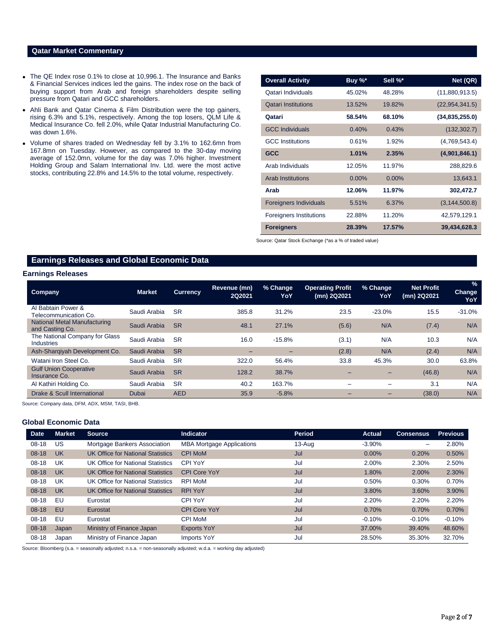### **Qatar Market Commentary**

- The QE Index rose 0.1% to close at 10,996.1. The Insurance and Banks & Financial Services indices led the gains. The index rose on the back of buying support from Arab and foreign shareholders despite selling pressure from Qatari and GCC shareholders.
- Ahli Bank and Qatar Cinema & Film Distribution were the top gainers, rising 6.3% and 5.1%, respectively. Among the top losers, QLM Life & Medical Insurance Co. fell 2.0%, while Qatar Industrial Manufacturing Co. was down 1.6%.
- Volume of shares traded on Wednesday fell by 3.1% to 162.6mn from 167.8mn on Tuesday. However, as compared to the 30-day moving average of 152.0mn, volume for the day was 7.0% higher. Investment Holding Group and Salam International Inv. Ltd. were the most active stocks, contributing 22.8% and 14.5% to the total volume, respectively.

| <b>Overall Activity</b>       | Buy %*   | Sell %*   | Net (QR)         |
|-------------------------------|----------|-----------|------------------|
| Qatari Individuals            | 45.02%   | 48.28%    | (11,880,913.5)   |
| <b>Qatari Institutions</b>    | 13.52%   | 19.82%    | (22, 954, 341.5) |
| Qatari                        | 58.54%   | 68.10%    | (34,835,255.0)   |
| <b>GCC Individuals</b>        | 0.40%    | 0.43%     | (132, 302.7)     |
| <b>GCC</b> Institutions       | 0.61%    | 1.92%     | (4,769,543.4)    |
| <b>GCC</b>                    | 1.01%    | 2.35%     | (4,901,846.1)    |
| Arab Individuals              | 12.05%   | 11.97%    | 288,829.6        |
| <b>Arab Institutions</b>      | $0.00\%$ | $0.00\%$  | 13,643.1         |
| Arab                          | 12.06%   | 11.97%    | 302,472.7        |
| <b>Foreigners Individuals</b> | 5.51%    | 6.37%     | (3, 144, 500.8)  |
| Foreigners Institutions       | 22.88%   | 11.20%    | 42,579,129.1     |
| <b>Foreigners</b>             | 28.39%   | $17.57\%$ | 39,434,628.3     |

Source: Qatar Stock Exchange (\*as a % of traded value)

### **Earnings Releases and Global Economic Data**

### **Earnings Releases**

| <b>Company</b>                                         | <b>Market</b> | <b>Currency</b> | Revenue (mn)<br>2Q2021 | % Change<br>YoY | <b>Operating Profit</b><br>(mn) 2Q2021 | % Change<br>YoY          | <b>Net Profit</b><br>(mn) 2Q2021 | $\frac{1}{2}$<br><b>Change</b><br>YoY |
|--------------------------------------------------------|---------------|-----------------|------------------------|-----------------|----------------------------------------|--------------------------|----------------------------------|---------------------------------------|
| Al Babtain Power &<br>Telecommunication Co.            | Saudi Arabia  | <b>SR</b>       | 385.8                  | 31.2%           | 23.5                                   | $-23.0%$                 | 15.5                             | $-31.0%$                              |
| <b>National Metal Manufacturing</b><br>and Casting Co. | Saudi Arabia  | <b>SR</b>       | 48.1                   | 27.1%           | (5.6)                                  | N/A                      | (7.4)                            | N/A                                   |
| The National Company for Glass<br>Industries           | Saudi Arabia  | <b>SR</b>       | 16.0                   | $-15.8%$        | (3.1)                                  | N/A                      | 10.3                             | N/A                                   |
| Ash-Sharqiyah Development Co.                          | Saudi Arabia  | <b>SR</b>       | -                      | -               | (2.8)                                  | N/A                      | (2.4)                            | N/A                                   |
| Watani Iron Steel Co.                                  | Saudi Arabia  | <b>SR</b>       | 322.0                  | 56.4%           | 33.8                                   | 45.3%                    | 30.0                             | 63.8%                                 |
| <b>Gulf Union Cooperative</b><br>Insurance Co.         | Saudi Arabia  | <b>SR</b>       | 128.2                  | 38.7%           |                                        |                          | (46.8)                           | N/A                                   |
| Al Kathiri Holding Co.                                 | Saudi Arabia  | <b>SR</b>       | 40.2                   | 163.7%          | -                                      | $\overline{\phantom{0}}$ | 3.1                              | N/A                                   |
| Drake & Scull International                            | Dubai         | <b>AED</b>      | 35.9                   | $-5.8%$         | $-$                                    | -                        | (38.0)                           | N/A                                   |

Source: Company data, DFM, ADX, MSM, TASI, BHB.

### **Global Economic Data**

| <b>Date</b> | <b>Market</b> | <b>Source</b>                     | <b>Indicator</b>                 | Period     | Actual    | <b>Consensus</b> | <b>Previous</b> |
|-------------|---------------|-----------------------------------|----------------------------------|------------|-----------|------------------|-----------------|
| $08-18$     | US            | Mortgage Bankers Association      | <b>MBA Mortgage Applications</b> | $13 - Aug$ | $-3.90\%$ | -                | 2.80%           |
| $08-18$     | <b>UK</b>     | UK Office for National Statistics | <b>CPI MoM</b>                   | Jul        | $0.00\%$  | 0.20%            | 0.50%           |
| $08-18$     | UK            | UK Office for National Statistics | CPI YoY                          | Jul        | 2.00%     | 2.30%            | 2.50%           |
| $08-18$     | <b>UK</b>     | UK Office for National Statistics | <b>CPI Core YoY</b>              | Jul        | 1.80%     | 2.00%            | 2.30%           |
| $08-18$     | UK            | UK Office for National Statistics | <b>RPI MoM</b>                   | Jul        | 0.50%     | 0.30%            | 0.70%           |
| $08-18$     | UK            | UK Office for National Statistics | <b>RPI YoY</b>                   | Jul        | 3.80%     | 3.60%            | 3.90%           |
| $08 - 18$   | EU            | Eurostat                          | <b>CPI YoY</b>                   | Jul        | 2.20%     | 2.20%            | 2.20%           |
| $08-18$     | <b>EU</b>     | Eurostat                          | <b>CPI Core YoY</b>              | Jul        | 0.70%     | 0.70%            | 0.70%           |
| $08-18$     | EU            | Eurostat                          | <b>CPI MoM</b>                   | Jul        | $-0.10%$  | $-0.10%$         | $-0.10%$        |
| $08-18$     | Japan         | Ministry of Finance Japan         | <b>Exports YoY</b>               | Jul        | 37.00%    | 39.40%           | 48.60%          |
| $08-18$     | Japan         | Ministry of Finance Japan         | Imports YoY                      | Jul        | 28.50%    | 35.30%           | 32.70%          |

Source: Bloomberg (s.a. = seasonally adjusted; n.s.a. = non-seasonally adjusted; w.d.a. = working day adjusted)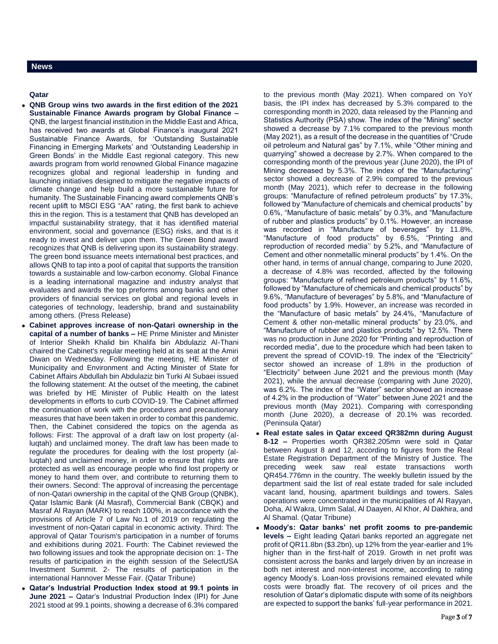### **Qatar**

- **QNB Group wins two awards in the first edition of the 2021 Sustainable Finance Awards program by Global Finance –** QNB, the largest financial institution in the Middle East and Africa, has received two awards at Global Finance's inaugural 2021 Sustainable Finance Awards, for 'Outstanding Sustainable Financing in Emerging Markets' and 'Outstanding Leadership in Green Bonds' in the Middle East regional category. This new awards program from world renowned Global Finance magazine recognizes global and regional leadership in funding and launching initiatives designed to mitigate the negative impacts of climate change and help build a more sustainable future for humanity. The Sustainable Financing award complements QNB's recent uplift to MSCI ESG "AA" rating, the first bank to achieve this in the region. This is a testament that QNB has developed an impactful sustainability strategy, that it has identified material environment, social and governance (ESG) risks, and that is it ready to invest and deliver upon them. The Green Bond award recognizes that QNB is delivering upon its sustainability strategy. The green bond issuance meets international best practices, and allows QNB to tap into a pool of capital that supports the transition towards a sustainable and low-carbon economy. Global Finance is a leading international magazine and industry analyst that evaluates and awards the top preforms among banks and other providers of financial services on global and regional levels in categories of technology, leadership, brand and sustainability among others. (Press Release)
- **Cabinet approves increase of non-Qatari ownership in the capital of a number of banks –** HE Prime Minister and Minister of Interior Sheikh Khalid bin Khalifa bin Abdulaziz Al-Thani chaired the Cabinet's regular meeting held at its seat at the Amiri Diwan on Wednesday. Following the meeting, HE Minister of Municipality and Environment and Acting Minister of State for Cabinet Affairs Abdullah bin Abdulaziz bin Turki Al Subaei issued the following statement: At the outset of the meeting, the cabinet was briefed by HE Minister of Public Health on the latest developments in efforts to curb COVID-19. The Cabinet affirmed the continuation of work with the procedures and precautionary measures that have been taken in order to combat this pandemic. Then, the Cabinet considered the topics on the agenda as follows: First: The approval of a draft law on lost property (alluqtah) and unclaimed money. The draft law has been made to regulate the procedures for dealing with the lost property (alluqtah) and unclaimed money, in order to ensure that rights are protected as well as encourage people who find lost property or money to hand them over, and contribute to returning them to their owners. Second: The approval of increasing the percentage of non-Qatari ownership in the capital of the QNB Group (QNBK), Qatar Islamic Bank (Al Masraf), Commercial Bank (CBQK) and Masraf Al Rayan (MARK) to reach 100%, in accordance with the provisions of Article 7 of Law No.1 of 2019 on regulating the investment of non-Qatari capital in economic activity. Third: The approval of Qatar Tourism's participation in a number of forums and exhibitions during 2021. Fourth: The Cabinet reviewed the two following issues and took the appropriate decision on: 1- The results of participation in the eighth session of the SelectUSA Investment Summit. 2- The results of participation in the international Hannover Messe Fair. (Qatar Tribune)
- **Qatar's Industrial Production Index stood at 99.1 points in June 2021 –** Qatar's Industrial Production Index (IPI) for June 2021 stood at 99.1 points, showing a decrease of 6.3% compared

to the previous month (May 2021). When compared on YoY basis, the IPI index has decreased by 5.3% compared to the corresponding month in 2020, data released by the Planning and Statistics Authority (PSA) show. The index of the "Mining" sector showed a decrease by 7.1% compared to the previous month (May 2021), as a result of the decrease in the quantities of "Crude oil petroleum and Natural gas" by 7.1%, while "Other mining and quarrying" showed a decrease by 2.7%. When compared to the corresponding month of the previous year (June 2020), the IPI of Mining decreased by 5.3%. The index of the "Manufacturing" sector showed a decrease of 2.9% compared to the previous month (May 2021), which refer to decrease in the following groups: "Manufacture of refined petroleum products" by 17.3%, followed by "Manufacture of chemicals and chemical products" by 0.6%, "Manufacture of basic metals" by 0.3%, and "Manufacture of rubber and plastics products" by 0.1%. However, an increase was recorded in "Manufacture of beverages" by 11.8%, "Manufacture of food products" by 6.5%, "Printing and reproduction of recorded media'' by 5.2%, and "Manufacture of Cement and other nonmetallic mineral products" by 1.4%. On the other hand, in terms of annual change, comparing to June 2020, a decrease of 4.8% was recorded, affected by the following groups: "Manufacture of refined petroleum products" by 11.6%, followed by "Manufacture of chemicals and chemical products" by 9.6%, "Manufacture of beverages" by 5.8%, and "Manufacture of food products" by 1.9%. However, an increase was recorded in the "Manufacture of basic metals" by 24.4%, "Manufacture of Cement & other non-metallic mineral products" by 23.0%, and "Manufacture of rubber and plastics products" by 12.5%. There was no production in June 2020 for "Printing and reproduction of recorded media", due to the procedure which had been taken to prevent the spread of COVID-19. The index of the "Electricity" sector showed an increase of 1.8% in the production of "Electricity" between June 2021 and the previous month (May 2021), while the annual decrease (comparing with June 2020), was 6.2%. The index of the "Water" sector showed an increase of 4.2% in the production of ''Water'' between June 2021 and the previous month (May 2021). Comparing with corresponding month (June 2020), a decrease of 20.1% was recorded. (Peninsula Qatar)

- **Real estate sales in Qatar exceed QR382mn during August 8-12 –** Properties worth QR382.205mn were sold in Qatar between August 8 and 12, according to figures from the Real Estate Registration Department of the Ministry of Justice. The preceding week saw real estate transactions worth QR454.776mn in the country. The weekly bulletin issued by the department said the list of real estate traded for sale included vacant land, housing, apartment buildings and towers. Sales operations were concentrated in the municipalities of Al Rayyan, Doha, Al Wakra, Umm Salal, Al Daayen, Al Khor, Al Dakhira, and Al Shamal. (Qatar Tribune)
- **Moody's: Qatar banks' net profit zooms to pre-pandemic levels –** Eight leading Qatari banks reported an aggregate net profit of QR11.8bn (\$3.2bn), up 12% from the year-earlier and 1% higher than in the first-half of 2019. Growth in net profit was consistent across the banks and largely driven by an increase in both net interest and non-interest income, according to rating agency Moody's. Loan-loss provisions remained elevated while costs were broadly flat. The recovery of oil prices and the resolution of Qatar's diplomatic dispute with some of its neighbors are expected to support the banks' full-year performance in 2021.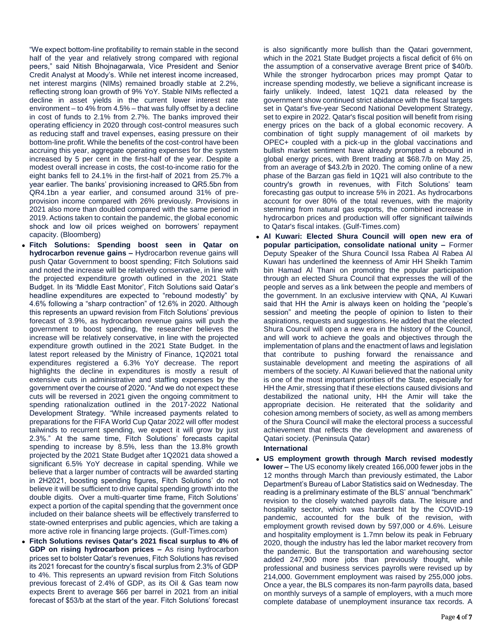"We expect bottom-line profitability to remain stable in the second half of the year and relatively strong compared with regional peers," said Nitish Bhojnagarwala, Vice President and Senior Credit Analyst at Moody's. While net interest income increased, net interest margins (NIMs) remained broadly stable at 2.2%, reflecting strong loan growth of 9% YoY. Stable NIMs reflected a decline in asset yields in the current lower interest rate environment – to 4% from 4.5% – that was fully offset by a decline in cost of funds to 2.1% from 2.7%. The banks improved their operating efficiency in 2020 through cost-control measures such as reducing staff and travel expenses, easing pressure on their bottom-line profit. While the benefits of the cost-control have been accruing this year, aggregate operating expenses for the system increased by 5 per cent in the first-half of the year. Despite a modest overall increase in costs, the cost-to-income ratio for the eight banks fell to 24.1% in the first-half of 2021 from 25.7% a year earlier. The banks' provisioning increased to QR5.5bn from QR4.1bn a year earlier, and consumed around 31% of preprovision income compared with 26% previously. Provisions in 2021 also more than doubled compared with the same period in 2019. Actions taken to contain the pandemic, the global economic shock and low oil prices weighed on borrowers' repayment capacity. (Bloomberg)

- **Fitch Solutions: Spending boost seen in Qatar on hydrocarbon revenue gains –** Hydrocarbon revenue gains will push Qatar Government to boost spending; Fitch Solutions said and noted the increase will be relatively conservative, in line with the projected expenditure growth outlined in the 2021 State Budget. In its 'Middle East Monitor', Fitch Solutions said Qatar's headline expenditures are expected to "rebound modestly" by 4.6% following a "sharp contraction" of 12.6% in 2020. Although this represents an upward revision from Fitch Solutions' previous forecast of 3.9%, as hydrocarbon revenue gains will push the government to boost spending, the researcher believes the increase will be relatively conservative, in line with the projected expenditure growth outlined in the 2021 State Budget. In the latest report released by the Ministry of Finance, 1Q2021 total expenditures registered a 6.3% YoY decrease. The report highlights the decline in expenditures is mostly a result of extensive cuts in administrative and staffing expenses by the government over the course of 2020. "And we do not expect these cuts will be reversed in 2021 given the ongoing commitment to spending rationalization outlined in the 2017-2022 National Development Strategy. "While increased payments related to preparations for the FIFA World Cup Qatar 2022 will offer modest tailwinds to recurrent spending, we expect it will grow by just 2.3%." At the same time, Fitch Solutions' forecasts capital spending to increase by 8.5%, less than the 13.8% growth projected by the 2021 State Budget after 1Q2021 data showed a significant 6.5% YoY decrease in capital spending. While we believe that a larger number of contracts will be awarded starting in 2H2021, boosting spending figures, Fitch Solutions' do not believe it will be sufficient to drive capital spending growth into the double digits. Over a multi-quarter time frame, Fitch Solutions' expect a portion of the capital spending that the government once included on their balance sheets will be effectively transferred to state-owned enterprises and public agencies, which are taking a more active role in financing large projects. (Gulf-Times.com)
- **Fitch Solutions revises Qatar's 2021 fiscal surplus to 4% of GDP on rising hydrocarbon prices –** As rising hydrocarbon prices set to bolster Qatar's revenues, Fitch Solutions has revised its 2021 forecast for the country's fiscal surplus from 2.3% of GDP to 4%. This represents an upward revision from Fitch Solutions previous forecast of 2.4% of GDP, as its Oil & Gas team now expects Brent to average \$66 per barrel in 2021 from an initial forecast of \$53/b at the start of the year. Fitch Solutions' forecast

is also significantly more bullish than the Qatari government, which in the 2021 State Budget projects a fiscal deficit of 6% on the assumption of a conservative average Brent price of \$40/b. While the stronger hydrocarbon prices may prompt Qatar to increase spending modestly, we believe a significant increase is fairly unlikely. Indeed, latest 1Q21 data released by the government show continued strict abidance with the fiscal targets set in Qatar's five-year Second National Development Strategy, set to expire in 2022. Qatar's fiscal position will benefit from rising energy prices on the back of a global economic recovery. A combination of tight supply management of oil markets by OPEC+ coupled with a pick-up in the global vaccinations and bullish market sentiment have already prompted a rebound in global energy prices, with Brent trading at \$68.7/b on May 25, from an average of \$43.2/b in 2020. The coming online of a new phase of the Barzan gas field in 1Q21 will also contribute to the country's growth in revenues, with Fitch Solutions' team forecasting gas output to increase 5% in 2021. As hydrocarbons account for over 80% of the total revenues, with the majority stemming from natural gas exports, the combined increase in hydrocarbon prices and production will offer significant tailwinds to Qatar's fiscal intakes. (Gulf-Times.com)

 **Al Kuwari: Elected Shura Council will open new era of popular participation, consolidate national unity –** Former Deputy Speaker of the Shura Council Issa Rabea Al Rabea Al Kuwari has underlined the keenness of Amir HH Sheikh Tamim bin Hamad Al Thani on promoting the popular participation through an elected Shura Council that expresses the will of the people and serves as a link between the people and members of the government. In an exclusive interview with QNA, Al Kuwari said that HH the Amir is always keen on holding the "people's session" and meeting the people of opinion to listen to their aspirations, requests and suggestions. He added that the elected Shura Council will open a new era in the history of the Council, and will work to achieve the goals and objectives through the implementation of plans and the enactment of laws and legislation that contribute to pushing forward the renaissance and sustainable development and meeting the aspirations of all members of the society. Al Kuwari believed that the national unity is one of the most important priorities of the State, especially for HH the Amir, stressing that if these elections caused divisions and destabilized the national unity, HH the Amir will take the appropriate decision. He reiterated that the solidarity and cohesion among members of society, as well as among members of the Shura Council will make the electoral process a successful achievement that reflects the development and awareness of Qatari society. (Peninsula Qatar)

### **International**

 **US employment growth through March revised modestly lower –** The US economy likely created 166,000 fewer jobs in the 12 months through March than previously estimated, the Labor Department's Bureau of Labor Statistics said on Wednesday. The reading is a preliminary estimate of the BLS' annual "benchmark" revision to the closely watched payrolls data. The leisure and hospitality sector, which was hardest hit by the COVID-19 pandemic, accounted for the bulk of the revision, with employment growth revised down by 597,000 or 4.6%. Leisure and hospitality employment is 1.7mn below its peak in February 2020, though the industry has led the labor market recovery from the pandemic. But the transportation and warehousing sector added 247,900 more jobs than previously thought, while professional and business services payrolls were revised up by 214,000. Government employment was raised by 255,000 jobs. Once a year, the BLS compares its non-farm payrolls data, based on monthly surveys of a sample of employers, with a much more complete database of unemployment insurance tax records. A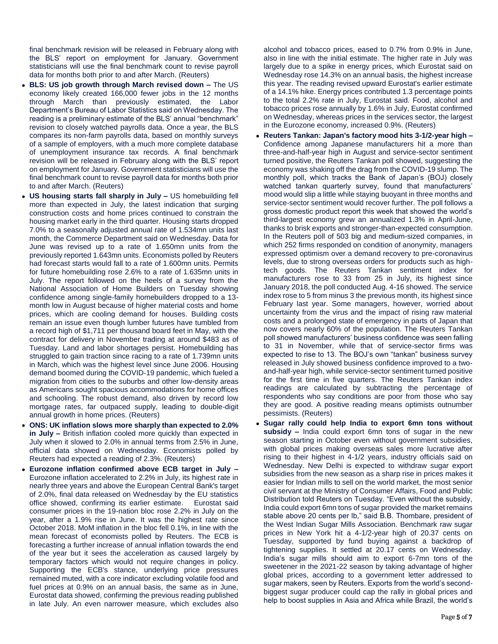final benchmark revision will be released in February along with the BLS' report on employment for January. Government statisticians will use the final benchmark count to revise payroll data for months both prior to and after March. (Reuters)

- **BLS: US job growth through March revised down –** The US economy likely created 166,000 fewer jobs in the 12 months through March than previously estimated, the Labor Department's Bureau of Labor Statistics said on Wednesday. The reading is a preliminary estimate of the BLS' annual "benchmark" revision to closely watched payrolls data. Once a year, the BLS compares its non-farm payrolls data, based on monthly surveys of a sample of employers, with a much more complete database of unemployment insurance tax records. A final benchmark revision will be released in February along with the BLS' report on employment for January. Government statisticians will use the final benchmark count to revise payroll data for months both prior to and after March. (Reuters)
- **US housing starts fall sharply in July –** US homebuilding fell more than expected in July, the latest indication that surging construction costs and home prices continued to constrain the housing market early in the third quarter. Housing starts dropped 7.0% to a seasonally adjusted annual rate of 1.534mn units last month, the Commerce Department said on Wednesday. Data for June was revised up to a rate of 1.650mn units from the previously reported 1.643mn units. Economists polled by Reuters had forecast starts would fall to a rate of 1.600mn units. Permits for future homebuilding rose 2.6% to a rate of 1.635mn units in July. The report followed on the heels of a survey from the National Association of Home Builders on Tuesday showing confidence among single-family homebuilders dropped to a 13 month low in August because of higher material costs and home prices, which are cooling demand for houses. Building costs remain an issue even though lumber futures have tumbled from a record high of \$1,711 per thousand board feet in May, with the contract for delivery in November trading at around \$483 as of Tuesday. Land and labor shortages persist. Homebuilding has struggled to gain traction since racing to a rate of 1.739mn units in March, which was the highest level since June 2006. Housing demand boomed during the COVID-19 pandemic, which fueled a migration from cities to the suburbs and other low-density areas as Americans sought spacious accommodations for home offices and schooling. The robust demand, also driven by record low mortgage rates, far outpaced supply, leading to double-digit annual growth in home prices. (Reuters)
- **ONS: UK inflation slows more sharply than expected to 2.0% in July –** British inflation cooled more quickly than expected in July when it slowed to 2.0% in annual terms from 2.5% in June, official data showed on Wednesday. Economists polled by Reuters had expected a reading of 2.3%. (Reuters)
- **Eurozone inflation confirmed above ECB target in July –** Eurozone inflation accelerated to 2.2% in July, its highest rate in nearly three years and above the European Central Bank's target of 2.0%, final data released on Wednesday by the EU statistics office showed, confirming its earlier estimate. Eurostat said consumer prices in the 19-nation bloc rose 2.2% in July on the year, after a 1.9% rise in June. It was the highest rate since October 2018. MoM inflation in the bloc fell 0.1%, in line with the mean forecast of economists polled by Reuters. The ECB is forecasting a further increase of annual inflation towards the end of the year but it sees the acceleration as caused largely by temporary factors which would not require changes in policy. Supporting the ECB's stance, underlying price pressures remained muted, with a core indicator excluding volatile food and fuel prices at 0.9% on an annual basis, the same as in June, Eurostat data showed, confirming the previous reading published in late July. An even narrower measure, which excludes also

alcohol and tobacco prices, eased to 0.7% from 0.9% in June, also in line with the initial estimate. The higher rate in July was largely due to a spike in energy prices, which Eurostat said on Wednesday rose 14.3% on an annual basis, the highest increase this year. The reading revised upward Eurostat's earlier estimate of a 14.1% hike. Energy prices contributed 1.3 percentage points to the total 2.2% rate in July, Eurostat said. Food, alcohol and tobacco prices rose annually by 1.6% in July, Eurostat confirmed on Wednesday, whereas prices in the services sector, the largest in the Eurozone economy, increased 0.9%. (Reuters)

- **Reuters Tankan: Japan's factory mood hits 3-1/2-year high –** Confidence among Japanese manufacturers hit a more than three-and-half-year high in August and service-sector sentiment turned positive, the Reuters Tankan poll showed, suggesting the economy was shaking off the drag from the COVID-19 slump. The monthly poll, which tracks the Bank of Japan's (BOJ) closely watched tankan quarterly survey, found that manufacturers' mood would slip a little while staying buoyant in three months and service-sector sentiment would recover further. The poll follows a gross domestic product report this week that showed the world's third-largest economy grew an annualized 1.3% in April-June, thanks to brisk exports and stronger-than-expected consumption. In the Reuters poll of 503 big and medium-sized companies, in which 252 firms responded on condition of anonymity, managers expressed optimism over a demand recovery to pre-coronavirus levels, due to strong overseas orders for products such as hightech goods. The Reuters Tankan sentiment index for manufacturers rose to 33 from 25 in July, its highest since January 2018, the poll conducted Aug. 4-16 showed. The service index rose to 5 from minus 3 the previous month, its highest since February last year. Some managers, however, worried about uncertainty from the virus and the impact of rising raw material costs and a prolonged state of emergency in parts of Japan that now covers nearly 60% of the population. The Reuters Tankan poll showed manufacturers' business confidence was seen falling to 31 in November, while that of service-sector firms was expected to rise to 13. The BOJ's own "tankan" business survey released in July showed business confidence improved to a twoand-half-year high, while service-sector sentiment turned positive for the first time in five quarters. The Reuters Tankan index readings are calculated by subtracting the percentage of respondents who say conditions are poor from those who say they are good. A positive reading means optimists outnumber pessimists. (Reuters)
- **Sugar rally could help India to export 6mn tons without subsidy –** India could export 6mn tons of sugar in the new season starting in October even without government subsidies, with global prices making overseas sales more lucrative after rising to their highest in 4-1/2 years, industry officials said on Wednesday. New Delhi is expected to withdraw sugar export subsidies from the new season as a sharp rise in prices makes it easier for Indian mills to sell on the world market, the most senior civil servant at the Ministry of Consumer Affairs, Food and Public Distribution told Reuters on Tuesday. "Even without the subsidy, India could export 6mn tons of sugar provided the market remains stable above 20 cents per lb," said B.B. Thombare, president of the West Indian Sugar Mills Association. Benchmark raw sugar prices in New York hit a 4-1/2-year high of 20.37 cents on Tuesday, supported by fund buying against a backdrop of tightening supplies. It settled at 20.17 cents on Wednesday. India's sugar mills should aim to export 6-7mn tons of the sweetener in the 2021-22 season by taking advantage of higher global prices, according to a government letter addressed to sugar makers, seen by Reuters. Exports from the world's secondbiggest sugar producer could cap the rally in global prices and help to boost supplies in Asia and Africa while Brazil, the world's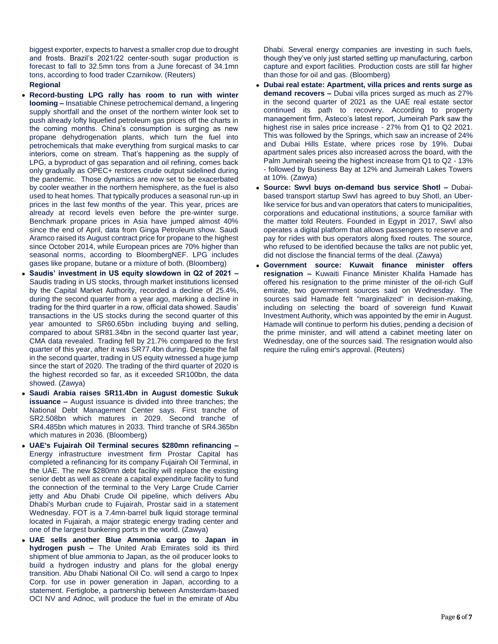biggest exporter, expects to harvest a smaller crop due to drought and frosts. Brazil's 2021/22 center-south sugar production is forecast to fall to 32.5mn tons from a June forecast of 34.1mn tons, according to food trader Czarnikow. (Reuters)

### **Regional**

- **Record-busting LPG rally has room to run with winter looming –** Insatiable Chinese petrochemical demand, a lingering supply shortfall and the onset of the northern winter look set to push already lofty liquefied petroleum gas prices off the charts in the coming months. China's consumption is surging as new propane dehydrogenation plants, which turn the fuel into petrochemicals that make everything from surgical masks to car interiors, come on stream. That's happening as the supply of LPG, a byproduct of gas separation and oil refining, comes back only gradually as OPEC+ restores crude output sidelined during the pandemic. Those dynamics are now set to be exacerbated by cooler weather in the northern hemisphere, as the fuel is also used to heat homes. That typically produces a seasonal run-up in prices in the last few months of the year. This year, prices are already at record levels even before the pre-winter surge. Benchmark propane prices in Asia have jumped almost 40% since the end of April, data from Ginga Petroleum show. Saudi Aramco raised its August contract price for propane to the highest since October 2014, while European prices are 70% higher than seasonal norms, according to BloombergNEF. LPG includes gases like propane, butane or a mixture of both. (Bloomberg)
- **Saudis' investment in US equity slowdown in Q2 of 2021 –** Saudis trading in US stocks, through market institutions licensed by the Capital Market Authority, recorded a decline of 25.4%, during the second quarter from a year ago, marking a decline in trading for the third quarter in a row, official data showed. Saudis' transactions in the US stocks during the second quarter of this year amounted to SR60.65bn including buying and selling, compared to about SR81.34bn in the second quarter last year, CMA data revealed. Trading fell by 21.7% compared to the first quarter of this year, after it was SR77.4bn during. Despite the fall in the second quarter, trading in US equity witnessed a huge jump since the start of 2020. The trading of the third quarter of 2020 is the highest recorded so far, as it exceeded SR100bn, the data showed. (Zawya)
- **Saudi Arabia raises SR11.4bn in August domestic Sukuk issuance –** August issuance is divided into three tranches; the National Debt Management Center says. First tranche of SR2.508bn which matures in 2029. Second tranche of SR4.485bn which matures in 2033. Third tranche of SR4.365bn which matures in 2036. (Bloomberg)
- **UAE's Fujairah Oil Terminal secures \$280mn refinancing –** Energy infrastructure investment firm Prostar Capital has completed a refinancing for its company Fujairah Oil Terminal, in the UAE. The new \$280mn debt facility will replace the existing senior debt as well as create a capital expenditure facility to fund the connection of the terminal to the Very Large Crude Carrier jetty and Abu Dhabi Crude Oil pipeline, which delivers Abu Dhabi's Murban crude to Fujairah, Prostar said in a statement Wednesday. FOT is a 7.4mn-barrel bulk liquid storage terminal located in Fujairah, a major strategic energy trading center and one of the largest bunkering ports in the world. (Zawya)
- **UAE sells another Blue Ammonia cargo to Japan in hydrogen push –** The United Arab Emirates sold its third shipment of blue ammonia to Japan, as the oil producer looks to build a hydrogen industry and plans for the global energy transition. Abu Dhabi National Oil Co. will send a cargo to Inpex Corp. for use in power generation in Japan, according to a statement. Fertiglobe, a partnership between Amsterdam-based OCI NV and Adnoc, will produce the fuel in the emirate of Abu

Dhabi. Several energy companies are investing in such fuels, though they've only just started setting up manufacturing, carbon capture and export facilities. Production costs are still far higher than those for oil and gas. (Bloomberg)

- **Dubai real estate: Apartment, villa prices and rents surge as demand recovers –** Dubai villa prices surged as much as 27% in the second quarter of 2021 as the UAE real estate sector continued its path to recovery. According to property management firm, Asteco's latest report, Jumeirah Park saw the highest rise in sales price increase - 27% from Q1 to Q2 2021. This was followed by the Springs, which saw an increase of 24% and Dubai Hills Estate, where prices rose by 19%. Dubai apartment sales prices also increased across the board, with the Palm Jumeirah seeing the highest increase from Q1 to Q2 - 13% - followed by Business Bay at 12% and Jumeirah Lakes Towers at 10%. (Zawya)
- **Source: Swvl buys on-demand bus service Shotl –** Dubaibased transport startup Swvl has agreed to buy Shotl, an Uberlike service for bus and van operators that caters to municipalities, corporations and educational institutions, a source familiar with the matter told Reuters. Founded in Egypt in 2017, Swvl also operates a digital platform that allows passengers to reserve and pay for rides with bus operators along fixed routes. The source, who refused to be identified because the talks are not public yet, did not disclose the financial terms of the deal. (Zawya)
- **Government source: Kuwait finance minister offers resignation –** Kuwaiti Finance Minister Khalifa Hamade has offered his resignation to the prime minister of the oil-rich Gulf emirate, two government sources said on Wednesday. The sources said Hamade felt "marginalized" in decision-making, including on selecting the board of sovereign fund Kuwait Investment Authority, which was appointed by the emir in August. Hamade will continue to perform his duties, pending a decision of the prime minister, and will attend a cabinet meeting later on Wednesday, one of the sources said. The resignation would also require the ruling emir's approval. (Reuters)